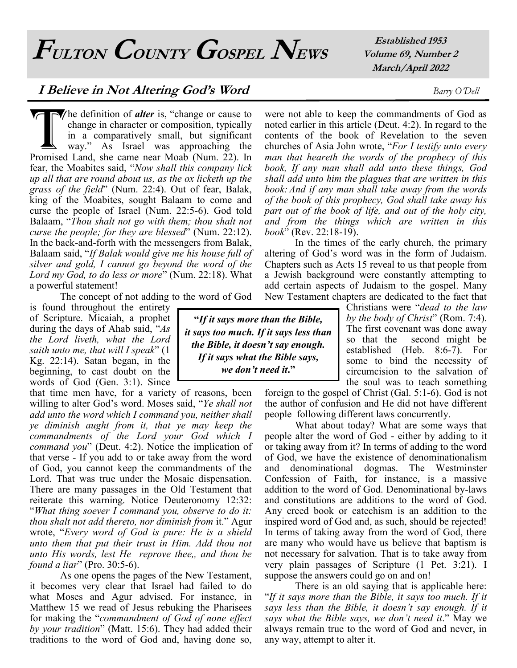**FULTON COUNTY GOSPEL NEWS**

**Established 1953 Volume 69, Number 2 March/April 2022**

## **I Believe in Not Altering God's Word** *Barry O'Dell*

The definition of **alter** is, "change or cause to change in character or composition, typically in a comparatively small, but significant way." As Israel was approaching the Promised Land, she came near Moab (Num. 22). In **he** definition of *alter* is, "change or cause to change in character or composition, typically in a comparatively small, but significant way." As Israel was approaching the fear, the Moabites said, "*Now shall this company lick up all that are round about us, as the ox licketh up the grass of the field*" (Num. 22:4). Out of fear, Balak, king of the Moabites, sought Balaam to come and curse the people of Israel (Num. 22:5-6). God told Balaam, "*Thou shalt not go with them; thou shalt not curse the people; for they are blessed*" (Num. 22:12). In the back-and-forth with the messengers from Balak, Balaam said, "*If Balak would give me his house full of silver and gold, I cannot go beyond the word of the Lord my God, to do less or more*" (Num. 22:18). What a powerful statement!

The concept of not adding to the word of God

is found throughout the entirety of Scripture. Micaiah, a prophet during the days of Ahab said, "*As the Lord liveth, what the Lord saith unto me, that will I speak*" (1 Kg. 22:14). Satan began, in the beginning, to cast doubt on the words of God (Gen. 3:1). Since

that time men have, for a variety of reasons, been willing to alter God's word. Moses said, "*Ye shall not add unto the word which I command you, neither shall ye diminish aught from it, that ye may keep the commandments of the Lord your God which I command you*" (Deut. 4:2). Notice the implication of that verse - If you add to or take away from the word of God, you cannot keep the commandments of the Lord. That was true under the Mosaic dispensation. There are many passages in the Old Testament that reiterate this warning. Notice Deuteronomy 12:32: "*What thing soever I command you, observe to do it: thou shalt not add thereto, nor diminish from* it." Agur wrote, "*Every word of God is pure: He is a shield unto them that put their trust in Him. Add thou not unto His words, lest He reprove thee,, and thou be found a liar*" (Pro. 30:5-6).

As one opens the pages of the New Testament, it becomes very clear that Israel had failed to do what Moses and Agur advised. For instance, in Matthew 15 we read of Jesus rebuking the Pharisees for making the "*commandment of God of none effect by your tradition*" (Matt. 15:6). They had added their traditions to the word of God and, having done so,

**"***If it says more than the Bible, it says too much. If it says less than the Bible, it doesn't say enough. If it says what the Bible says, we don't need it***."** 

were not able to keep the commandments of God as noted earlier in this article (Deut. 4:2). In regard to the contents of the book of Revelation to the seven churches of Asia John wrote, "*For I testify unto every man that heareth the words of the prophecy of this book, If any man shall add unto these things, God shall add unto him the plagues that are written in this book: And if any man shall take away from the words of the book of this prophecy, God shall take away his part out of the book of life, and out of the holy city, and from the things which are written in this book*" (Rev. 22:18-19).

In the times of the early church, the primary altering of God's word was in the form of Judaism. Chapters such as Acts 15 reveal to us that people from a Jewish background were constantly attempting to add certain aspects of Judaism to the gospel. Many New Testament chapters are dedicated to the fact that

> Christians were "*dead to the law by the body of Christ*" (Rom. 7:4). The first covenant was done away so that the second might be established (Heb. 8:6-7). For some to bind the necessity of circumcision to the salvation of the soul was to teach something

foreign to the gospel of Christ (Gal. 5:1-6). God is not the author of confusion and He did not have different people following different laws concurrently.

What about today? What are some ways that people alter the word of God - either by adding to it or taking away from it? In terms of adding to the word of God, we have the existence of denominationalism and denominational dogmas. The Westminster Confession of Faith, for instance, is a massive addition to the word of God. Denominational by-laws and constitutions are additions to the word of God. Any creed book or catechism is an addition to the inspired word of God and, as such, should be rejected! In terms of taking away from the word of God, there are many who would have us believe that baptism is not necessary for salvation. That is to take away from very plain passages of Scripture (1 Pet. 3:21). I suppose the answers could go on and on!

There is an old saying that is applicable here: "*If it says more than the Bible, it says too much. If it says less than the Bible, it doesn't say enough. If it says what the Bible says, we don't need it*." May we always remain true to the word of God and never, in any way, attempt to alter it.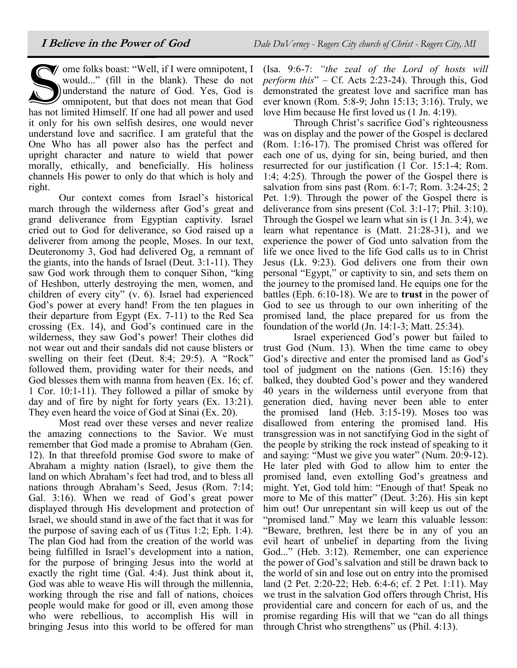Solution Compare is the U.S. These do not would..." (fill in the blank). These do not understand the nature of God. Yes, God is omnipotent, but that does not mean that God has not limited Himself. If one had all power and  $\blacktriangledown$  ome folks boast: "Well, if I were omnipotent, I would..." (fill in the blank). These do not understand the nature of God. Yes, God is omnipotent, but that does not mean that God it only for his own selfish desires, one would never understand love and sacrifice. I am grateful that the One Who has all power also has the perfect and upright character and nature to wield that power morally, ethically, and beneficially. His holiness channels His power to only do that which is holy and right.

Our context comes from Israel's historical march through the wilderness after God's great and grand deliverance from Egyptian captivity. Israel cried out to God for deliverance, so God raised up a deliverer from among the people, Moses. In our text, Deuteronomy 3, God had delivered Og, a remnant of the giants, into the hands of Israel (Deut. 3:1-11). They saw God work through them to conquer Sihon, "king of Heshbon, utterly destroying the men, women, and children of every city" (v. 6). Israel had experienced God's power at every hand! From the ten plagues in their departure from Egypt (Ex. 7-11) to the Red Sea crossing (Ex. 14), and God's continued care in the wilderness, they saw God's power! Their clothes did not wear out and their sandals did not cause blisters or swelling on their feet (Deut. 8:4; 29:5). A "Rock" followed them, providing water for their needs, and God blesses them with manna from heaven (Ex. 16; cf. 1 Cor. 10:1-11). They followed a pillar of smoke by day and of fire by night for forty years (Ex. 13:21). They even heard the voice of God at Sinai (Ex. 20).

Most read over these verses and never realize the amazing connections to the Savior. We must remember that God made a promise to Abraham (Gen. 12). In that threefold promise God swore to make of Abraham a mighty nation (Israel), to give them the land on which Abraham's feet had trod, and to bless all nations through Abraham's Seed, Jesus (Rom. 7:14; Gal. 3:16). When we read of God's great power displayed through His development and protection of Israel, we should stand in awe of the fact that it was for the purpose of saving each of us (Titus 1:2; Eph. 1:4). The plan God had from the creation of the world was being fulfilled in Israel's development into a nation, for the purpose of bringing Jesus into the world at exactly the right time (Gal. 4:4). Just think about it, God was able to weave His will through the millennia, working through the rise and fall of nations, choices people would make for good or ill, even among those who were rebellious, to accomplish His will in bringing Jesus into this world to be offered for man

(Isa. 9:6-7: *"the zeal of the Lord of hosts will perform this*" – Cf. Acts 2:23-24). Through this, God demonstrated the greatest love and sacrifice man has ever known (Rom. 5:8-9; John 15:13; 3:16). Truly, we love Him because He first loved us (1 Jn. 4:19).

Through Christ's sacrifice God's righteousness was on display and the power of the Gospel is declared (Rom. 1:16-17). The promised Christ was offered for each one of us, dying for sin, being buried, and then resurrected for our justification (1 Cor. 15:1-4; Rom. 1:4; 4:25). Through the power of the Gospel there is salvation from sins past (Rom. 6:1-7; Rom. 3:24-25; 2 Pet. 1:9). Through the power of the Gospel there is deliverance from sins present (Col. 3:1-17; Phil. 3:10). Through the Gospel we learn what sin is (1 Jn. 3:4), we learn what repentance is (Matt. 21:28-31), and we experience the power of God unto salvation from the life we once lived to the life God calls us to in Christ Jesus (Lk. 9:23). God delivers one from their own personal "Egypt," or captivity to sin, and sets them on the journey to the promised land. He equips one for the battles (Eph. 6:10-18). We are to **trust** in the power of God to see us through to our own inheriting of the promised land, the place prepared for us from the foundation of the world (Jn. 14:1-3; Matt. 25:34).

Israel experienced God's power but failed to trust God (Num. 13). When the time came to obey God's directive and enter the promised land as God's tool of judgment on the nations (Gen. 15:16) they balked, they doubted God's power and they wandered 40 years in the wilderness until everyone from that generation died, having never been able to enter the promised land (Heb. 3:15-19). Moses too was disallowed from entering the promised land. His transgression was in not sanctifying God in the sight of the people by striking the rock instead of speaking to it and saying: "Must we give you water" (Num. 20:9-12). He later pled with God to allow him to enter the promised land, even extolling God's greatness and might. Yet, God told him: "Enough of that! Speak no more to Me of this matter" (Deut. 3:26). His sin kept him out! Our unrepentant sin will keep us out of the "promised land." May we learn this valuable lesson: "Beware, brethren, lest there be in any of you an evil heart of unbelief in departing from the living God..." (Heb. 3:12). Remember, one can experience the power of God's salvation and still be drawn back to the world of sin and lose out on entry into the promised land (2 Pet. 2:20-22; Heb. 6:4-6; cf. 2 Pet. 1:11). May we trust in the salvation God offers through Christ, His providential care and concern for each of us, and the promise regarding His will that we "can do all things through Christ who strengthens" us (Phil. 4:13).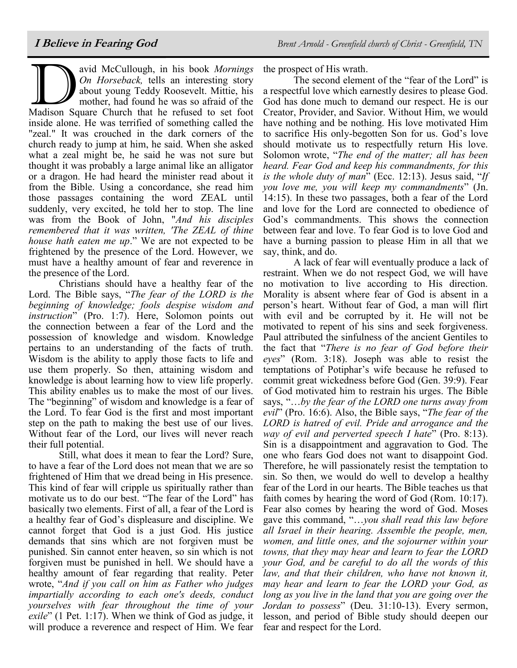avid McCullough, in his book Mornings<br>On Horseback, tells an interesting story<br>about young Teddy Roosevelt. Mittie, his<br>mother, had found he was so afraid of the<br>Madison Square Church that he refused to set foot avid McCullough, in his book *Mornings On Horseback,* tells an interesting story about young Teddy Roosevelt. Mittie, his mother, had found he was so afraid of the inside alone. He was terrified of something called the "zeal." It was crouched in the dark corners of the church ready to jump at him, he said. When she asked what a zeal might be, he said he was not sure but thought it was probably a large animal like an alligator or a dragon. He had heard the minister read about it from the Bible. Using a concordance, she read him those passages containing the word ZEAL until suddenly, very excited, he told her to stop. The line was from the Book of John, "*And his disciples remembered that it was written, 'The ZEAL of thine house hath eaten me up*." We are not expected to be frightened by the presence of the Lord. However, we must have a healthy amount of fear and reverence in the presence of the Lord.

Christians should have a healthy fear of the Lord. The Bible says, "*The fear of the LORD is the beginning of knowledge; fools despise wisdom and instruction*" (Pro. 1:7). Here, Solomon points out the connection between a fear of the Lord and the possession of knowledge and wisdom. Knowledge pertains to an understanding of the facts of truth. Wisdom is the ability to apply those facts to life and use them properly. So then, attaining wisdom and knowledge is about learning how to view life properly. This ability enables us to make the most of our lives. The "beginning" of wisdom and knowledge is a fear of the Lord. To fear God is the first and most important step on the path to making the best use of our lives. Without fear of the Lord, our lives will never reach their full potential.

Still, what does it mean to fear the Lord? Sure, to have a fear of the Lord does not mean that we are so frightened of Him that we dread being in His presence. This kind of fear will cripple us spiritually rather than motivate us to do our best. "The fear of the Lord" has basically two elements. First of all, a fear of the Lord is a healthy fear of God's displeasure and discipline. We cannot forget that God is a just God. His justice demands that sins which are not forgiven must be punished. Sin cannot enter heaven, so sin which is not forgiven must be punished in hell. We should have a healthy amount of fear regarding that reality. Peter wrote, "*And if you call on him as Father who judges impartially according to each one's deeds, conduct yourselves with fear throughout the time of your exile*" (1 Pet. 1:17). When we think of God as judge, it will produce a reverence and respect of Him. We fear

the prospect of His wrath.

The second element of the "fear of the Lord" is a respectful love which earnestly desires to please God. God has done much to demand our respect. He is our Creator, Provider, and Savior. Without Him, we would have nothing and be nothing. His love motivated Him to sacrifice His only-begotten Son for us. God's love should motivate us to respectfully return His love. Solomon wrote, "*The end of the matter; all has been heard. Fear God and keep his commandments, for this is the whole duty of man*" (Ecc. 12:13). Jesus said, "*If you love me, you will keep my commandments*" (Jn. 14:15). In these two passages, both a fear of the Lord and love for the Lord are connected to obedience of God's commandments. This shows the connection between fear and love. To fear God is to love God and have a burning passion to please Him in all that we say, think, and do.

A lack of fear will eventually produce a lack of restraint. When we do not respect God, we will have no motivation to live according to His direction. Morality is absent where fear of God is absent in a person's heart. Without fear of God, a man will flirt with evil and be corrupted by it. He will not be motivated to repent of his sins and seek forgiveness. Paul attributed the sinfulness of the ancient Gentiles to the fact that "*There is no fear of God before their eyes*" (Rom. 3:18). Joseph was able to resist the temptations of Potiphar's wife because he refused to commit great wickedness before God (Gen. 39:9). Fear of God motivated him to restrain his urges. The Bible says, "…*by the fear of the LORD one turns away from evil*" (Pro. 16:6). Also, the Bible says, "*The fear of the LORD is hatred of evil. Pride and arrogance and the way of evil and perverted speech I hate*" (Pro. 8:13). Sin is a disappointment and aggravation to God. The one who fears God does not want to disappoint God. Therefore, he will passionately resist the temptation to sin. So then, we would do well to develop a healthy fear of the Lord in our hearts. The Bible teaches us that faith comes by hearing the word of God (Rom. 10:17). Fear also comes by hearing the word of God. Moses gave this command, "…*you shall read this law before all Israel in their hearing. Assemble the people, men, women, and little ones, and the sojourner within your towns, that they may hear and learn to fear the LORD your God, and be careful to do all the words of this law, and that their children, who have not known it, may hear and learn to fear the LORD your God, as long as you live in the land that you are going over the Jordan to possess*" (Deu. 31:10-13). Every sermon, lesson, and period of Bible study should deepen our fear and respect for the Lord.